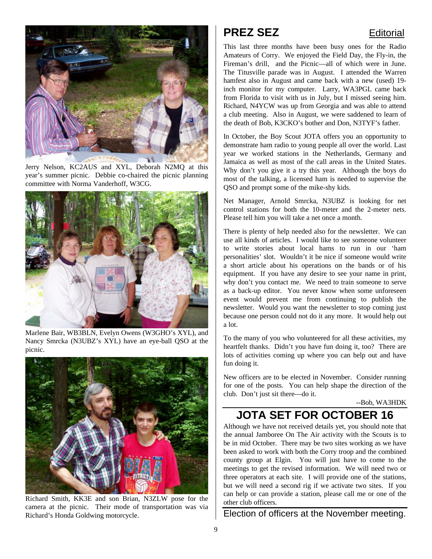

Jerry Nelson, KC2AUS and XYL, Deborah N2MQ at this year's summer picnic. Debbie co-chaired the picnic planning committee with Norma Vanderhoff, W3CG.



Marlene Bair, WB3BLN, Evelyn Owens (W3GHO's XYL), and Nancy Smrcka (N3UBZ's XYL) have an eye-ball QSO at the picnic.



Richard Smith, KK3E and son Brian, N3ZLW pose for the camera at the picnic. Their mode of transportation was via Richard's Honda Goldwing motorcycle.

## **PREZ SEZ** Editorial

This last three months have been busy ones for the Radio Amateurs of Corry. We enjoyed the Field Day, the Fly-in, the Fireman's drill, and the Picnic—all of which were in June. The Titusville parade was in August. I attended the Warren hamfest also in August and came back with a new (used) 19 inch monitor for my computer. Larry, WA3PGL came back from Florida to visit with us in July, but I missed seeing him. Richard, N4YCW was up from Georgia and was able to attend a club meeting. Also in August, we were saddened to learn of the death of Bob, K3CKO's bother and Don, N3TYF's father.

In October, the Boy Scout JOTA offers you an opportunity to demonstrate ham radio to young people all over the world. Last year we worked stations in the Netherlands, Germany and Jamaica as well as most of the call areas in the United States. Why don't you give it a try this year. Although the boys do most of the talking, a licensed ham is needed to supervise the QSO and prompt some of the mike-shy kids.

Net Manager, Arnold Smrcka, N3UBZ is looking for net control stations for both the 10-meter and the 2-meter nets. Please tell him you will take a net once a month.

There is plenty of help needed also for the newsletter. We can use all kinds of articles. I would like to see someone volunteer to write stories about local hams to run in our 'ham personalities' slot. Wouldn't it be nice if someone would write a short article about his operations on the bands or of his equipment. If you have any desire to see your name in print, why don't you contact me. We need to train someone to serve as a back-up editor. You never know when some unforeseen event would prevent me from continuing to publish the newsletter. Would you want the newsletter to stop coming just because one person could not do it any more. It would help out a lot.

To the many of you who volunteered for all these activities, my heartfelt thanks. Didn't you have fun doing it, too? There are lots of activities coming up where you can help out and have fun doing it.

New officers are to be elected in November. Consider running for one of the posts. You can help shape the direction of the club. Don't just sit there—do it.

--Bob, WA3HDK

## **JOTA SET FOR OCTOBER 16**

Although we have not received details yet, you should note that the annual Jamboree On The Air activity with the Scouts is to be in mid October. There may be two sites working as we have been asked to work with both the Corry troop and the combined county group at Elgin. You will just have to come to the meetings to get the revised information. We will need two or three operators at each site. I will provide one of the stations, but we will need a second rig if we activate two sites. If you can help or can provide a station, please call me or one of the other club officers.

Election of officers at the November meeting.